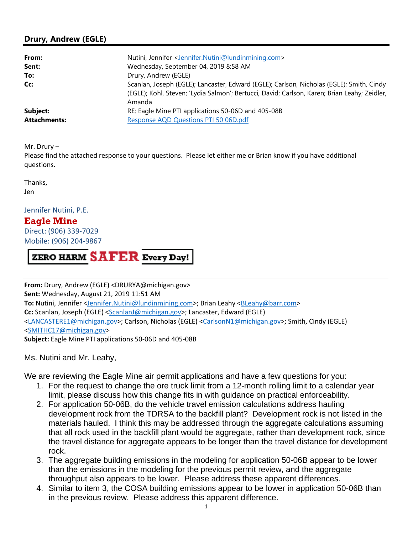## **Drury, Andrew (EGLE)**

| From:               | Nutini, Jennifer <jennifer.nutini@lundinmining.com></jennifer.nutini@lundinmining.com>                                                                                                             |
|---------------------|----------------------------------------------------------------------------------------------------------------------------------------------------------------------------------------------------|
| Sent:               | Wednesday, September 04, 2019 8:58 AM                                                                                                                                                              |
| To:                 | Drury, Andrew (EGLE)                                                                                                                                                                               |
| Cc:                 | Scanlan, Joseph (EGLE); Lancaster, Edward (EGLE); Carlson, Nicholas (EGLE); Smith, Cindy<br>(EGLE); Kohl, Steven; 'Lydia Salmon'; Bertucci, David; Carlson, Karen; Brian Leahy; Zeidler,<br>Amanda |
| Subject:            | RE: Eagle Mine PTI applications 50-06D and 405-08B                                                                                                                                                 |
| <b>Attachments:</b> | Response AQD Questions PTI 50 06D.pdf                                                                                                                                                              |

Mr. Drury –

 Please find the attached response to your questions. Please let either me or Brian know if you have additional questions.

Thanks,

Jen

Jennifer Nutini, P.E.

## **Eagle Mine**

 Direct: (906) 339-7029 Mobile: (906) 204-9867

ZERO HARM SAFER Every Day!

**From:** Drury, Andrew (EGLE) [<DRURYA@michigan.gov>](mailto:DRURYA@michigan.gov)  **Sent: Wednesday, August 21, 2019 11:51 AM To:** Nutini, Jennifer [<Jennifer.Nutini@lundinmining.com>; Br](mailto:Jennifer.Nutini@lundinmining.com)ian Leahy [<BLeahy@barr.com>](mailto:BLeahy@barr.com)  **Cc:** Scanlan, Joseph (EGLE) <[ScanlanJ@michigan.gov>; La](mailto:ScanlanJ@michigan.gov)ncaster, Edward (EGLE) [<LANCASTERE1@michigan.gov>; Ca](mailto:LANCASTERE1@michigan.gov)rlson, Nicholas (EGLE) [<CarlsonN1@michigan.gov>; Sm](mailto:CarlsonN1@michigan.gov)ith, Cindy (EGLE) [<SMITHC17@michigan.gov>](mailto:SMITHC17@michigan.gov)  Subject: Eagle Mine PTI applications 50-06D and 405-08B

Ms. Nutini and Mr. Leahy,

We are reviewing the Eagle Mine air permit applications and have a few questions for you:

- 1. For the request to change the ore truck limit from a 12-month rolling limit to a calendar year limit, please discuss how this change fits in with guidance on practical enforceability.
- 2. For application 50-06B, do the vehicle travel emission calculations address hauling development rock from the TDRSA to the backfill plant? Development rock is not listed in the materials hauled. I think this may be addressed through the aggregate calculations assuming that all rock used in the backfill plant would be aggregate, rather than development rock, since the travel distance for aggregate appears to be longer than the travel distance for development rock.
- 3. The aggregate building emissions in the modeling for application 50-06B appear to be lower than the emissions in the modeling for the previous permit review, and the aggregate throughput also appears to be lower. Please address these apparent differences.
- 4. Similar to item 3, the COSA building emissions appear to be lower in application 50-06B than in the previous review. Please address this apparent difference.